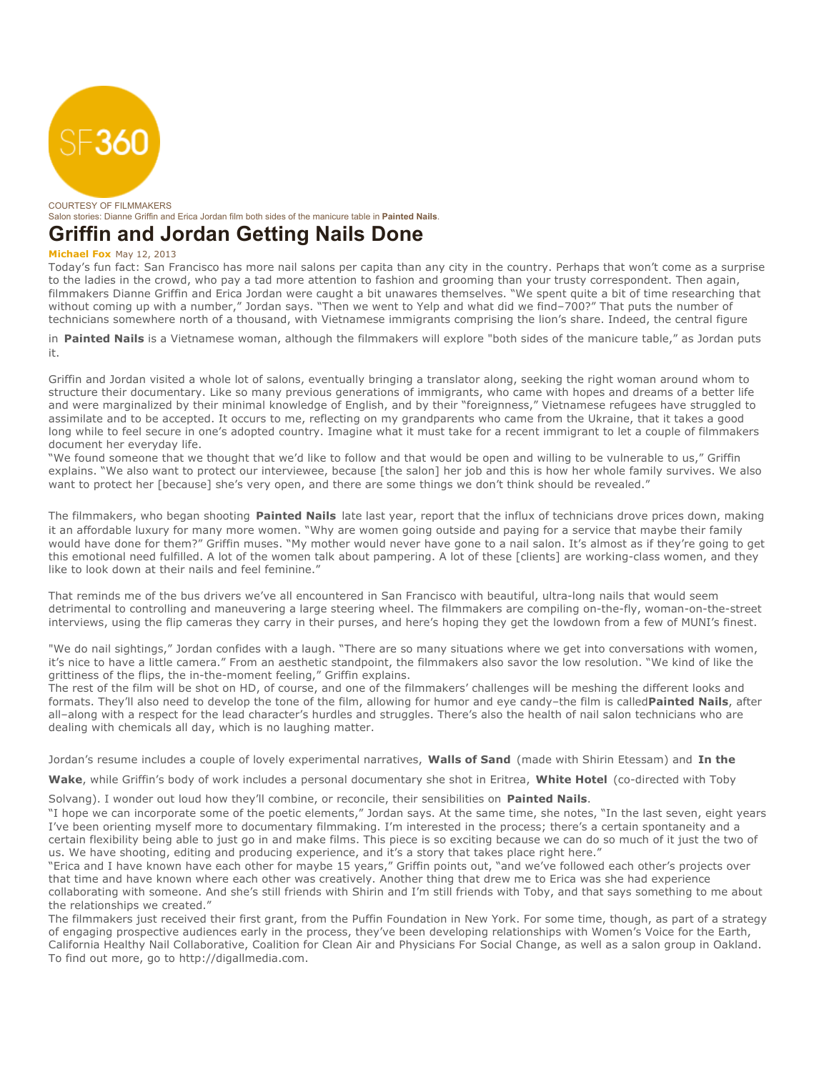

COURTESY OF FILMMAKERS Salon stories: Dianne Griffin and Erica Jordan film both sides of the manicure table in **Painted Nails**.

## **Griffin and Jordan Getting Nails Done**

## **Michael Fox** May 12, 2013

Today's fun fact: San Francisco has more nail salons per capita than any city in the country. Perhaps that won't come as a surprise to the ladies in the crowd, who pay a tad more attention to fashion and grooming than your trusty correspondent. Then again, filmmakers Dianne Griffin and Erica Jordan were caught a bit unawares themselves. "We spent quite a bit of time researching that without coming up with a number," Jordan says. "Then we went to Yelp and what did we find–700?" That puts the number of technicians somewhere north of a thousand, with Vietnamese immigrants comprising the lion's share. Indeed, the central figure

in **Painted Nails** is a Vietnamese woman, although the filmmakers will explore "both sides of the manicure table," as Jordan puts it.

Griffin and Jordan visited a whole lot of salons, eventually bringing a translator along, seeking the right woman around whom to structure their documentary. Like so many previous generations of immigrants, who came with hopes and dreams of a better life and were marginalized by their minimal knowledge of English, and by their "foreignness," Vietnamese refugees have struggled to assimilate and to be accepted. It occurs to me, reflecting on my grandparents who came from the Ukraine, that it takes a good long while to feel secure in one's adopted country. Imagine what it must take for a recent immigrant to let a couple of filmmakers document her everyday life.

"We found someone that we thought that we'd like to follow and that would be open and willing to be vulnerable to us," Griffin explains. "We also want to protect our interviewee, because [the salon] her job and this is how her whole family survives. We also want to protect her [because] she's very open, and there are some things we don't think should be revealed."

The filmmakers, who began shooting **Painted Nails** late last year, report that the influx of technicians drove prices down, making it an affordable luxury for many more women. "Why are women going outside and paying for a service that maybe their family would have done for them?" Griffin muses. "My mother would never have gone to a nail salon. It's almost as if they're going to get this emotional need fulfilled. A lot of the women talk about pampering. A lot of these [clients] are working-class women, and they like to look down at their nails and feel feminine."

That reminds me of the bus drivers we've all encountered in San Francisco with beautiful, ultra-long nails that would seem detrimental to controlling and maneuvering a large steering wheel. The filmmakers are compiling on-the-fly, woman-on-the-street interviews, using the flip cameras they carry in their purses, and here's hoping they get the lowdown from a few of MUNI's finest.

"We do nail sightings," Jordan confides with a laugh. "There are so many situations where we get into conversations with women, it's nice to have a little camera." From an aesthetic standpoint, the filmmakers also savor the low resolution. "We kind of like the grittiness of the flips, the in-the-moment feeling," Griffin explains.

The rest of the film will be shot on HD, of course, and one of the filmmakers' challenges will be meshing the different looks and formats. They'll also need to develop the tone of the film, allowing for humor and eye candy–the film is called**Painted Nails**, after all–along with a respect for the lead character's hurdles and struggles. There's also the health of nail salon technicians who are dealing with chemicals all day, which is no laughing matter.

Jordan's resume includes a couple of lovely experimental narratives, **Walls of Sand** (made with Shirin Etessam) and **In the**

**Wake**, while Griffin's body of work includes a personal documentary she shot in Eritrea, **White Hotel** (co-directed with Toby

Solvang). I wonder out loud how they'll combine, or reconcile, their sensibilities on **Painted Nails**.

"I hope we can incorporate some of the poetic elements," Jordan says. At the same time, she notes, "In the last seven, eight years I've been orienting myself more to documentary filmmaking. I'm interested in the process; there's a certain spontaneity and a certain flexibility being able to just go in and make films. This piece is so exciting because we can do so much of it just the two of us. We have shooting, editing and producing experience, and it's a story that takes place right here."

"Erica and I have known have each other for maybe 15 years," Griffin points out, "and we've followed each other's projects over that time and have known where each other was creatively. Another thing that drew me to Erica was she had experience collaborating with someone. And she's still friends with Shirin and I'm still friends with Toby, and that says something to me about the relationships we created."

The filmmakers just received their first grant, from the Puffin Foundation in New York. For some time, though, as part of a strategy of engaging prospective audiences early in the process, they've been developing relationships with Women's Voice for the Earth, California Healthy Nail Collaborative, Coalition for Clean Air and Physicians For Social Change, as well as a salon group in Oakland. To find out more, go to http://digallmedia.com.